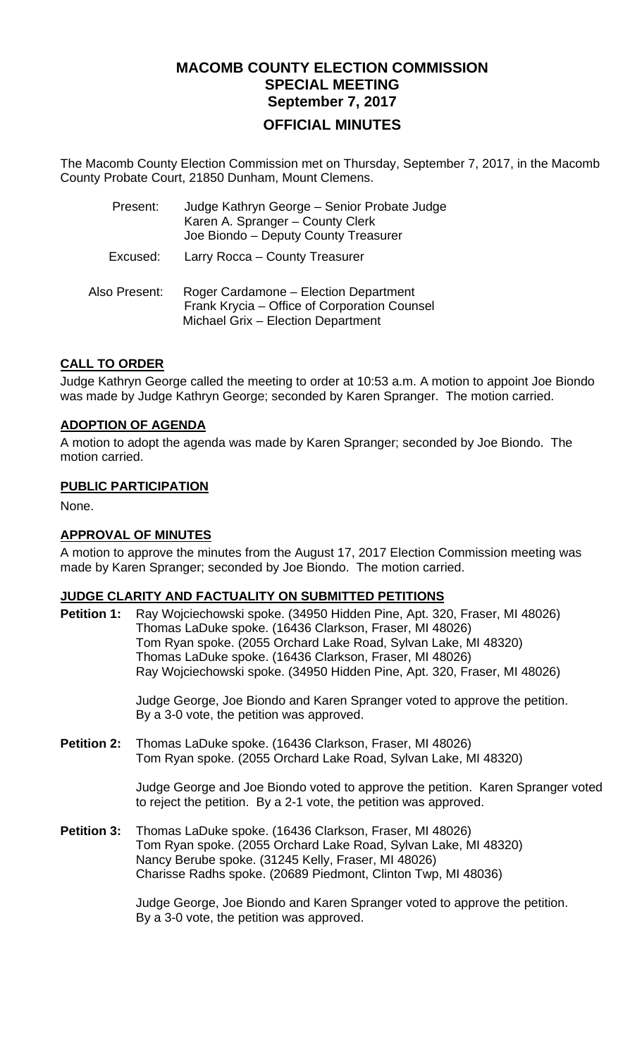# **MACOMB COUNTY ELECTION COMMISSION SPECIAL MEETING September 7, 2017 OFFICIAL MINUTES**

The Macomb County Election Commission met on Thursday, September 7, 2017, in the Macomb County Probate Court, 21850 Dunham, Mount Clemens.

| Present:      | Judge Kathryn George - Senior Probate Judge<br>Karen A. Spranger - County Clerk<br>Joe Biondo - Deputy County Treasurer     |
|---------------|-----------------------------------------------------------------------------------------------------------------------------|
| Excused:      | Larry Rocca - County Treasurer                                                                                              |
| Also Present: | Roger Cardamone - Election Department<br>Frank Krycia - Office of Corporation Counsel<br>Michael Grix - Election Department |

# **CALL TO ORDER**

Judge Kathryn George called the meeting to order at 10:53 a.m. A motion to appoint Joe Biondo was made by Judge Kathryn George; seconded by Karen Spranger. The motion carried.

# **ADOPTION OF AGENDA**

A motion to adopt the agenda was made by Karen Spranger; seconded by Joe Biondo. The motion carried.

## **PUBLIC PARTICIPATION**

None.

# **APPROVAL OF MINUTES**

A motion to approve the minutes from the August 17, 2017 Election Commission meeting was made by Karen Spranger; seconded by Joe Biondo. The motion carried.

# **JUDGE CLARITY AND FACTUALITY ON SUBMITTED PETITIONS**

**Petition 1:** Ray Wojciechowski spoke. (34950 Hidden Pine, Apt. 320, Fraser, MI 48026) Thomas LaDuke spoke. (16436 Clarkson, Fraser, MI 48026) Tom Ryan spoke. (2055 Orchard Lake Road, Sylvan Lake, MI 48320) Thomas LaDuke spoke. (16436 Clarkson, Fraser, MI 48026) Ray Wojciechowski spoke. (34950 Hidden Pine, Apt. 320, Fraser, MI 48026)

> Judge George, Joe Biondo and Karen Spranger voted to approve the petition. By a 3-0 vote, the petition was approved.

**Petition 2:** Thomas LaDuke spoke. (16436 Clarkson, Fraser, MI 48026) Tom Ryan spoke. (2055 Orchard Lake Road, Sylvan Lake, MI 48320)

> Judge George and Joe Biondo voted to approve the petition. Karen Spranger voted to reject the petition. By a 2-1 vote, the petition was approved.

**Petition 3:** Thomas LaDuke spoke. (16436 Clarkson, Fraser, MI 48026) Tom Ryan spoke. (2055 Orchard Lake Road, Sylvan Lake, MI 48320) Nancy Berube spoke. (31245 Kelly, Fraser, MI 48026) Charisse Radhs spoke. (20689 Piedmont, Clinton Twp, MI 48036)

> Judge George, Joe Biondo and Karen Spranger voted to approve the petition. By a 3-0 vote, the petition was approved.